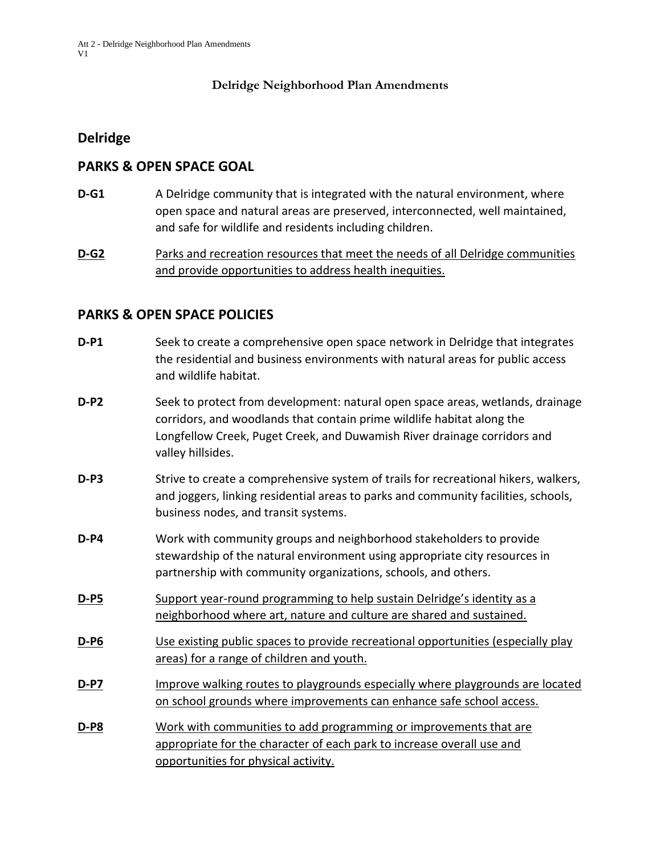#### **Delridge Neighborhood Plan Amendments**

#### **Delridge**

#### **PARKS & OPEN SPACE GOAL**

**D-G1** A Delridge community that is integrated with the natural environment, where open space and natural areas are preserved, interconnected, well maintained, and safe for wildlife and residents including children.

**D-G2** Parks and recreation resources that meet the needs of all Delridge communities and provide opportunities to address health inequities.

#### **PARKS & OPEN SPACE POLICIES**

| $D - P1$    | Seek to create a comprehensive open space network in Delridge that integrates<br>the residential and business environments with natural areas for public access<br>and wildlife habitat.                                                                  |
|-------------|-----------------------------------------------------------------------------------------------------------------------------------------------------------------------------------------------------------------------------------------------------------|
| $D-P2$      | Seek to protect from development: natural open space areas, wetlands, drainage<br>corridors, and woodlands that contain prime wildlife habitat along the<br>Longfellow Creek, Puget Creek, and Duwamish River drainage corridors and<br>valley hillsides. |
| $D-P3$      | Strive to create a comprehensive system of trails for recreational hikers, walkers,<br>and joggers, linking residential areas to parks and community facilities, schools,<br>business nodes, and transit systems.                                         |
| $D-P4$      | Work with community groups and neighborhood stakeholders to provide<br>stewardship of the natural environment using appropriate city resources in<br>partnership with community organizations, schools, and others.                                       |
| D-P5        | Support year-round programming to help sustain Delridge's identity as a<br>neighborhood where art, nature and culture are shared and sustained.                                                                                                           |
| <b>D-P6</b> | Use existing public spaces to provide recreational opportunities (especially play<br>areas) for a range of children and youth.                                                                                                                            |
| <u>D-P7</u> | Improve walking routes to playgrounds especially where playgrounds are located<br>on school grounds where improvements can enhance safe school access.                                                                                                    |
| D-P8        | Work with communities to add programming or improvements that are<br>appropriate for the character of each park to increase overall use and<br>opportunities for physical activity.                                                                       |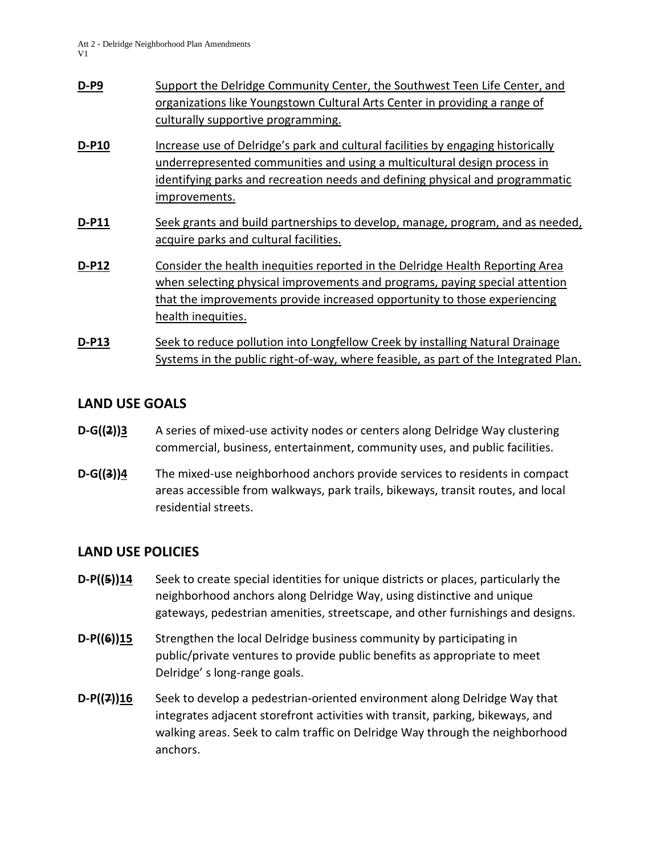| $D-PP9$      | Support the Delridge Community Center, the Southwest Teen Life Center, and<br>organizations like Youngstown Cultural Arts Center in providing a range of<br>culturally supportive programming.                                                                  |
|--------------|-----------------------------------------------------------------------------------------------------------------------------------------------------------------------------------------------------------------------------------------------------------------|
| D-P10        | Increase use of Delridge's park and cultural facilities by engaging historically<br>underrepresented communities and using a multicultural design process in<br>identifying parks and recreation needs and defining physical and programmatic<br>improvements.  |
| <b>D-P11</b> | Seek grants and build partnerships to develop, manage, program, and as needed,<br>acquire parks and cultural facilities.                                                                                                                                        |
| <b>D-P12</b> | Consider the health inequities reported in the Delridge Health Reporting Area<br>when selecting physical improvements and programs, paying special attention<br>that the improvements provide increased opportunity to those experiencing<br>health inequities. |
| D-P13        | Seek to reduce pollution into Longfellow Creek by installing Natural Drainage<br>Systems in the public right-of-way, where feasible, as part of the Integrated Plan.                                                                                            |

### **LAND USE GOALS**

- **D-G((2))3** A series of mixed-use activity nodes or centers along Delridge Way clustering commercial, business, entertainment, community uses, and public facilities.
- **D-G((3))4** The mixed-use neighborhood anchors provide services to residents in compact areas accessible from walkways, park trails, bikeways, transit routes, and local residential streets.

# **LAND USE POLICIES**

- **D-P((5))14** Seek to create special identities for unique districts or places, particularly the neighborhood anchors along Delridge Way, using distinctive and unique gateways, pedestrian amenities, streetscape, and other furnishings and designs.
- **D-P((6))15** Strengthen the local Delridge business community by participating in public/private ventures to provide public benefits as appropriate to meet Delridge' s long-range goals.
- **D-P((7))16** Seek to develop a pedestrian-oriented environment along Delridge Way that integrates adjacent storefront activities with transit, parking, bikeways, and walking areas. Seek to calm traffic on Delridge Way through the neighborhood anchors.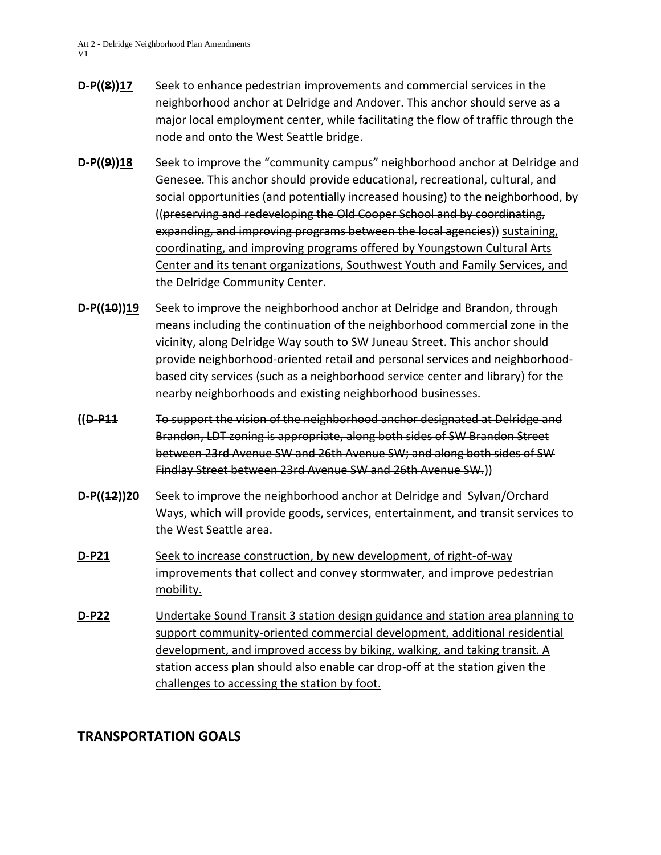- **D-P((8))17** Seek to enhance pedestrian improvements and commercial services in the neighborhood anchor at Delridge and Andover. This anchor should serve as a major local employment center, while facilitating the flow of traffic through the node and onto the West Seattle bridge.
- **D-P((9))18** Seek to improve the "community campus" neighborhood anchor at Delridge and Genesee. This anchor should provide educational, recreational, cultural, and social opportunities (and potentially increased housing) to the neighborhood, by ((preserving and redeveloping the Old Cooper School and by coordinating, expanding, and improving programs between the local agencies)) sustaining, coordinating, and improving programs offered by Youngstown Cultural Arts Center and its tenant organizations, Southwest Youth and Family Services, and the Delridge Community Center.
- **D-P((10))19** Seek to improve the neighborhood anchor at Delridge and Brandon, through means including the continuation of the neighborhood commercial zone in the vicinity, along Delridge Way south to SW Juneau Street. This anchor should provide neighborhood-oriented retail and personal services and neighborhoodbased city services (such as a neighborhood service center and library) for the nearby neighborhoods and existing neighborhood businesses.
- **((D-P11** To support the vision of the neighborhood anchor designated at Delridge and Brandon, LDT zoning is appropriate, along both sides of SW Brandon Street between 23rd Avenue SW and 26th Avenue SW; and along both sides of SW Findlay Street between 23rd Avenue SW and 26th Avenue SW.))
- **D-P((12))20** Seek to improve the neighborhood anchor at Delridge and Sylvan/Orchard Ways, which will provide goods, services, entertainment, and transit services to the West Seattle area.
- **D-P21** Seek to increase construction, by new development, of right-of-way improvements that collect and convey stormwater, and improve pedestrian mobility.
- **D-P22** Undertake Sound Transit 3 station design guidance and station area planning to support community-oriented commercial development, additional residential development, and improved access by biking, walking, and taking transit. A station access plan should also enable car drop-off at the station given the challenges to accessing the station by foot.

# **TRANSPORTATION GOALS**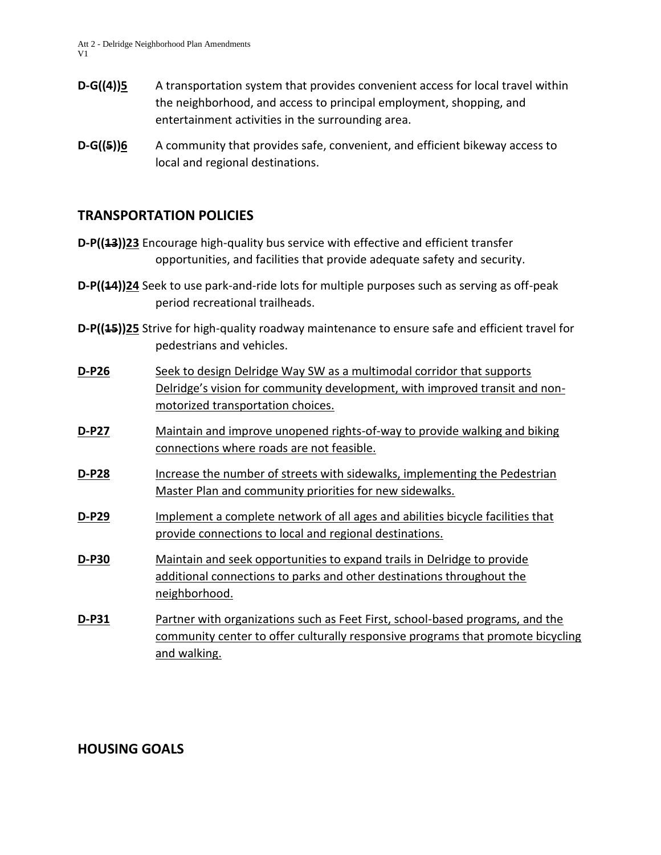- **D-G((4))5** A transportation system that provides convenient access for local travel within the neighborhood, and access to principal employment, shopping, and entertainment activities in the surrounding area.
- **D-G((5))6** A community that provides safe, convenient, and efficient bikeway access to local and regional destinations.

# **TRANSPORTATION POLICIES**

- **D-P((13))23** Encourage high-quality bus service with effective and efficient transfer opportunities, and facilities that provide adequate safety and security.
- **D-P((44))24** Seek to use park-and-ride lots for multiple purposes such as serving as off-peak period recreational trailheads.
- **D-P((15))25** Strive for high-quality roadway maintenance to ensure safe and efficient travel for pedestrians and vehicles.
- **D-P26** Seek to design Delridge Way SW as a multimodal corridor that supports Delridge's vision for community development, with improved transit and nonmotorized transportation choices.
- **D-P27** Maintain and improve unopened rights-of-way to provide walking and biking connections where roads are not feasible.
- **D-P28** Increase the number of streets with sidewalks, implementing the Pedestrian Master Plan and community priorities for new sidewalks.
- **D-P29** Implement a complete network of all ages and abilities bicycle facilities that provide connections to local and regional destinations.
- **D-P30** Maintain and seek opportunities to expand trails in Delridge to provide additional connections to parks and other destinations throughout the neighborhood.
- **D-P31** Partner with organizations such as Feet First, school-based programs, and the community center to offer culturally responsive programs that promote bicycling and walking.

#### **HOUSING GOALS**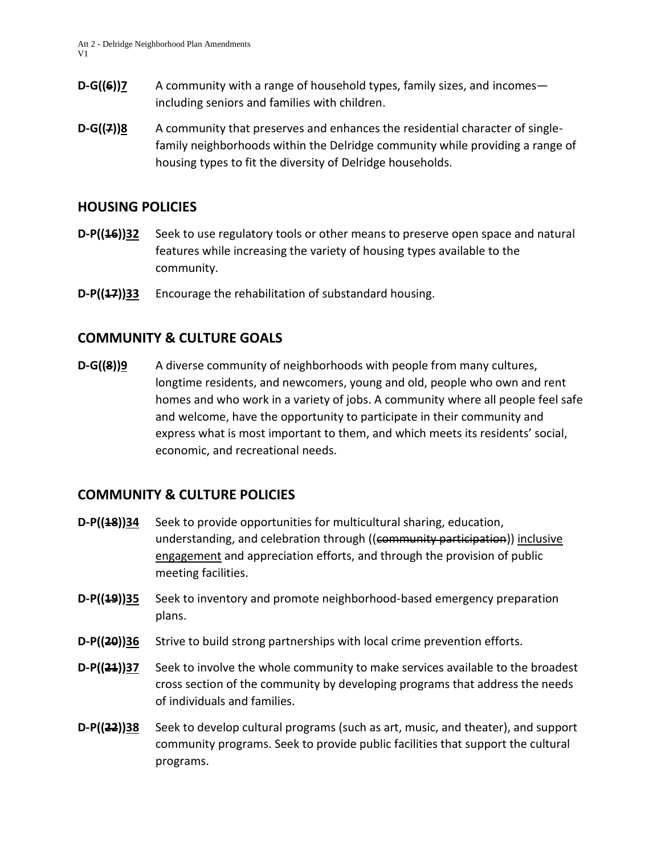- **D-G((6))7** A community with a range of household types, family sizes, and incomesincluding seniors and families with children.
- **D-G((7))8** A community that preserves and enhances the residential character of singlefamily neighborhoods within the Delridge community while providing a range of housing types to fit the diversity of Delridge households.

### **HOUSING POLICIES**

- **D-P((46))32** Seek to use regulatory tools or other means to preserve open space and natural features while increasing the variety of housing types available to the community.
- **D-P((17))33** Encourage the rehabilitation of substandard housing.

# **COMMUNITY & CULTURE GOALS**

**D-G((8))9** A diverse community of neighborhoods with people from many cultures, longtime residents, and newcomers, young and old, people who own and rent homes and who work in a variety of jobs. A community where all people feel safe and welcome, have the opportunity to participate in their community and express what is most important to them, and which meets its residents' social, economic, and recreational needs.

#### **COMMUNITY & CULTURE POLICIES**

- **D-P((18))34** Seek to provide opportunities for multicultural sharing, education, understanding, and celebration through ((community participation)) inclusive engagement and appreciation efforts, and through the provision of public meeting facilities.
- **D-P((19))35** Seek to inventory and promote neighborhood-based emergency preparation plans.
- **D-P((20))36** Strive to build strong partnerships with local crime prevention efforts.
- **D-P((21))37** Seek to involve the whole community to make services available to the broadest cross section of the community by developing programs that address the needs of individuals and families.
- **D-P((22))38** Seek to develop cultural programs (such as art, music, and theater), and support community programs. Seek to provide public facilities that support the cultural programs.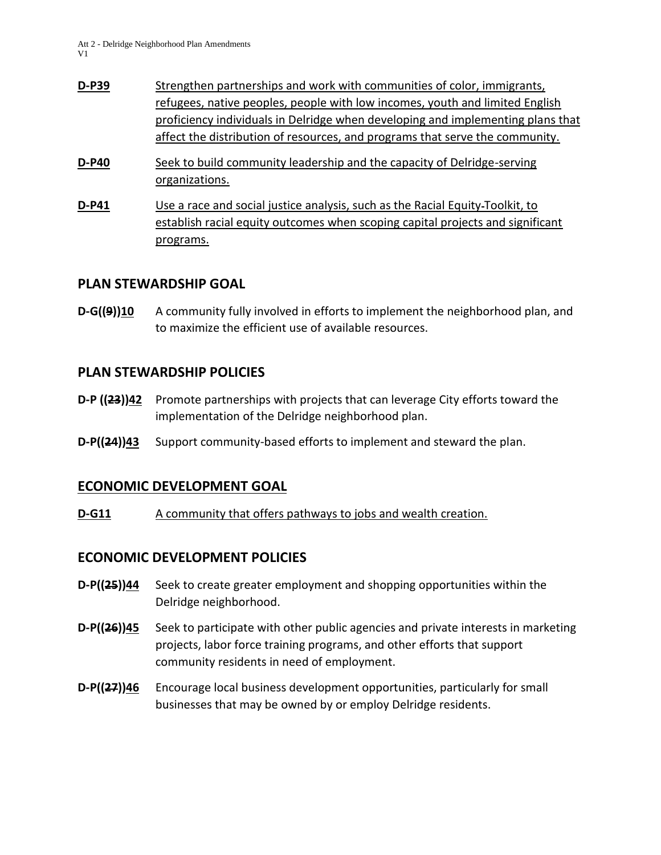- **D-P39** Strengthen partnerships and work with communities of color, immigrants, refugees, native peoples, people with low incomes, youth and limited English proficiency individuals in Delridge when developing and implementing plans that affect the distribution of resources, and programs that serve the community.
- **D-P40** Seek to build community leadership and the capacity of Delridge-serving organizations.
- **D-P41** Use a race and social justice analysis, such as the Racial Equity Toolkit, to establish racial equity outcomes when scoping capital projects and significant programs.

### **PLAN STEWARDSHIP GOAL**

**D-G((9))10** A community fully involved in efforts to implement the neighborhood plan, and to maximize the efficient use of available resources.

### **PLAN STEWARDSHIP POLICIES**

- **D-P ((23))42** Promote partnerships with projects that can leverage City efforts toward the implementation of the Delridge neighborhood plan.
- **D-P((24))43** Support community-based efforts to implement and steward the plan.

# **ECONOMIC DEVELOPMENT GOAL**

**D-G11** A community that offers pathways to jobs and wealth creation.

# **ECONOMIC DEVELOPMENT POLICIES**

- **D-P((25))44** Seek to create greater employment and shopping opportunities within the Delridge neighborhood.
- **D-P((26))45** Seek to participate with other public agencies and private interests in marketing projects, labor force training programs, and other efforts that support community residents in need of employment.
- **D-P((27))46** Encourage local business development opportunities, particularly for small businesses that may be owned by or employ Delridge residents.